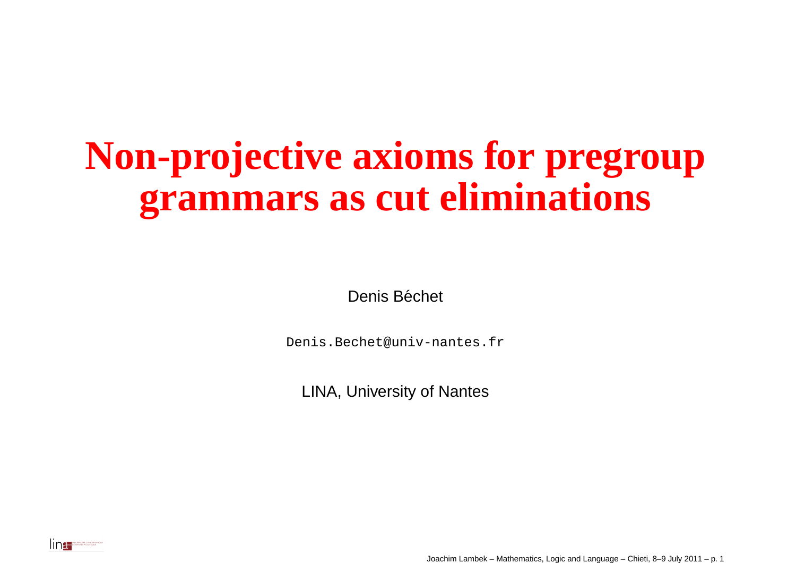#### **Non-projective axioms for pregroupgrammars as cut eliminations**

Denis Béchet

Denis.Bechet@univ-nantes.fr

LINA, University of Nantes



Joachim Lambek – Mathematics, Logic and Language – Chieti, 8–9 July <sup>2011</sup> – p. <sup>1</sup>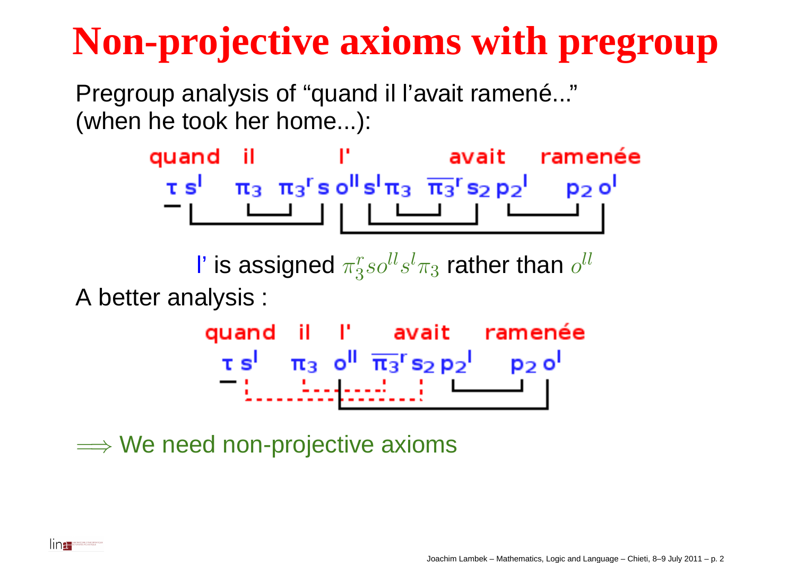Pregroup analysis of "quand il l'avait ramené..."(when he took her home...):

> quand il l'avait ramenée  $\tau s^1$   $\pi_3$   $\pi_3$ 's o<sup>ll</sup>s<sup>1</sup> $\pi_3$   $\overline{\pi_3}$ 's<sub>2</sub> p<sub>2</sub><sup>1</sup> p<sub>2</sub> o<sup>l</sup>

 $\mathsf I'$  is assigned  $\pi_3^r$  $^r_3so^{ll}s^l\pi_3$  $_3$  rather than  $o^{ll}$ A better analysis :

> quand il l' avait ramenée  $\tau s^1$   $\pi_3$  o<sup>ll</sup>  $\overline{\pi_3}$ <sup>r</sup> s<sub>2</sub> p<sub>2</sub><sup>1</sup> p<sub>2</sub> o<sup>l</sup> <u> Tillis Andread III (messa k</u>

 $\Longrightarrow$  We need non-projective axioms

Ina **De NANTIS ALARMAN**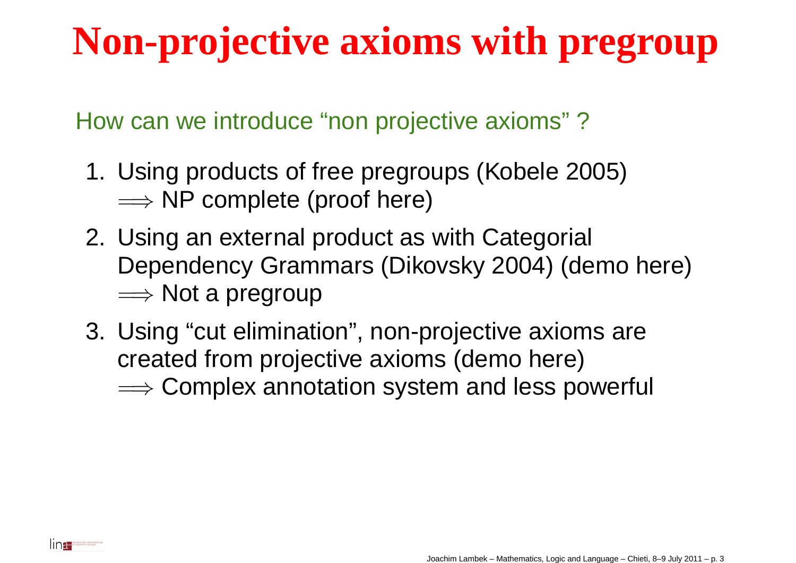How can we introduce "non projective axioms" ?

- 1. Using products of free pregroups (Kobele 2005)**⇒⇒ NP complete (proof here)**<br>. . .
- 2. Using an external product as with Categorial Dependency Grammars (Dikovsky 2004) (demo here)⇒ Not a pregroup<br>. . . . . . . . . . . . .
- 3. Using "cut elimination", non-projective axioms arecreated from projective axioms (demo here) $\Longrightarrow$  Complex annotation system and less powerful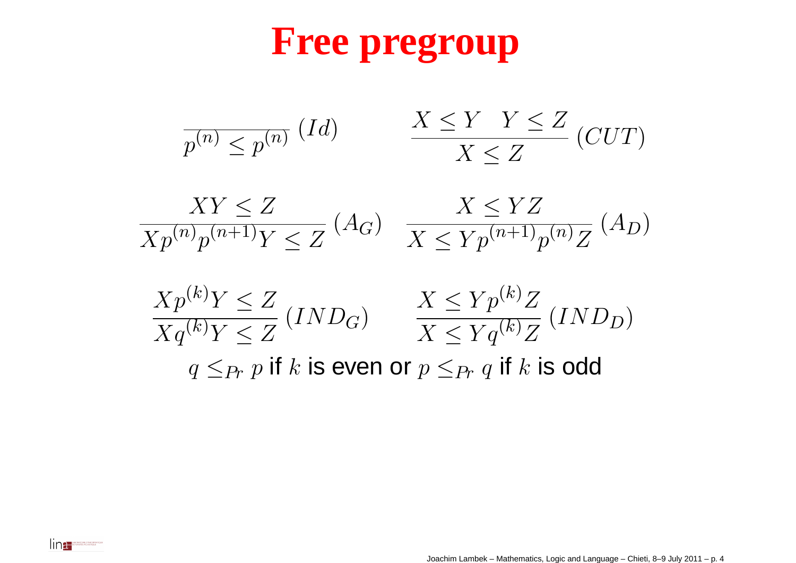#### **Free pregroup**

$$
\frac{1}{p^{(n)} \le p^{(n)}} (Id) \qquad \frac{X \le Y \quad Y \le Z}{X \le Z} (CUT)
$$

$$
\frac{XY \le Z}{Xp^{(n)}p^{(n+1)}Y \le Z} \left( A_G \right) \quad \frac{X \le YZ}{X \le Yp^{(n+1)}p^{(n)}Z} \left( A_D \right)
$$

$$
\frac{Xp^{(k)}Y \le Z}{Xq^{(k)}Y \le Z} \left( IND_G \right) \qquad \frac{X \le Yp^{(k)}Z}{X \le Yq^{(k)}Z} \left( IND_D \right)
$$

$$
q \le P_r \ p \text{ if } k \text{ is even or } p \le P_r \ q \text{ if } k \text{ is odd}
$$

Industrial Distribution

Joachim Lambek – Mathematics, Logic and Language – Chieti, 8–9 July <sup>2011</sup> – p. <sup>4</sup>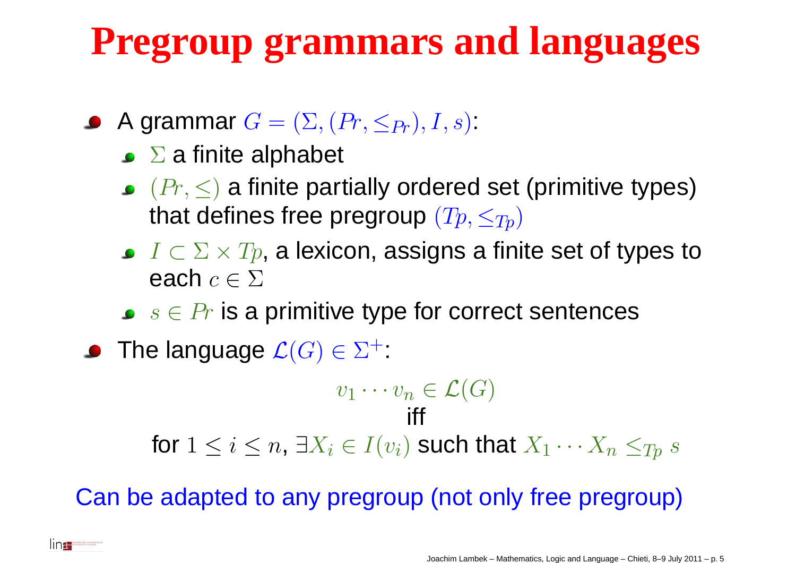# **Pregroup grammars and languages**

- A grammar  $G = (\Sigma, (Pr, \leq_{Pr}), I, s)$ .
	- $\Sigma$  a finite alphabet
	- $(Pr,\leq)$  a finite partially ordered set (primitive types) that defines free pregroup  $(Tp,\leq_{Tp})$
	- $I\subset\Sigma\times Tp$ , a lexicon, assigns a finite set of types to<br>each as  $\overline{\delta}\Sigma$ each  $c\in\Sigma$
	- $s\in Pr$  is a primitive type for correct sentences
- The language  $\mathcal{L}(G)\in\Sigma^+$ :

**IDEL** DE NAUTRES ATLANTIQUE

$$
v_1 \cdots v_n \in \mathcal{L}(G)
$$

for  $1\leq i\leq n,$   $\exists X_i\in I(v_i)$  such that  $X_1\cdots X_n$  $X_n \leq_{Tp} s$ 

Can be adapted to any pregroup (not only free pregroup)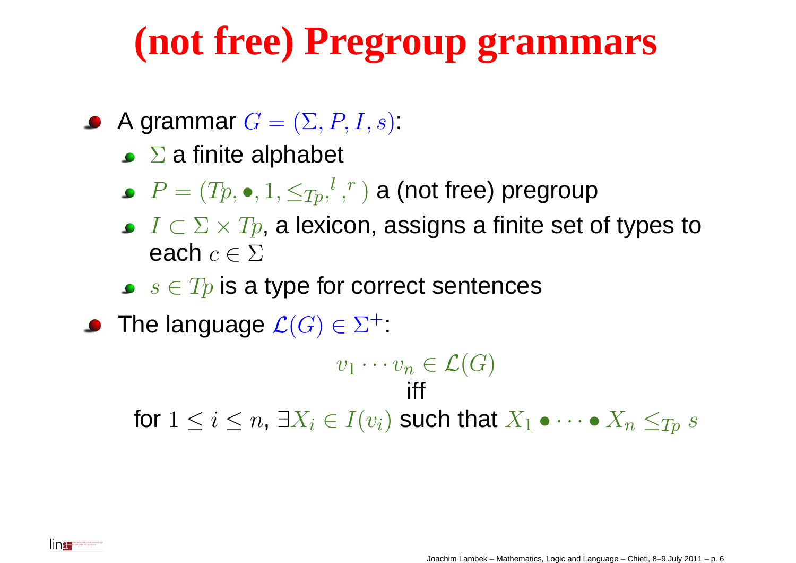#### **(not free) Pregroup grammars**

- A grammar  $G = (\Sigma, P, I, s)$ .
	- $\Sigma$  a finite alphabet
	- $P=(Tp,\bullet,1,\leq_{Tp},^l,$  $r\,$  $\hspace{.1cm} r$  ) a (not free) pregroup
	- $I\subset\Sigma\times Tp$ , a lexicon, assigns a finite set of types to<br>each as  $\overline{\delta}\Sigma$ each  $c\in\Sigma$
	- $s\in Tp$  is a type for correct sentences
- The language  $\mathcal{L}(G)\in\Sigma^+$ :

lina:

 $v_1 \cdots v_n$  $n\in \mathcal{L}(G)$ ifffor  $1\leq i\leq n,$   $\exists X_i\in I(v_i)$  such that  $X_1\bullet\cdots\bullet X_n\leq_{Tp} s$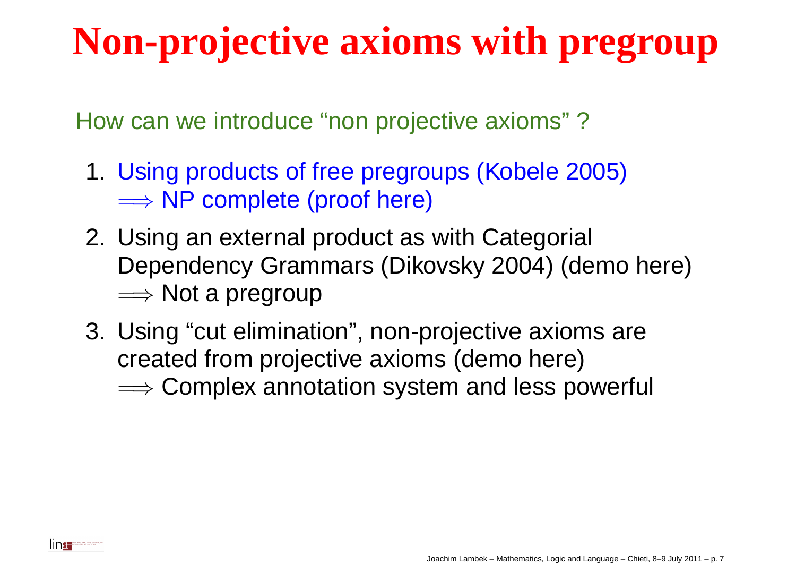How can we introduce "non projective axioms" ?

- 1. Using products of free pregroups (Kobele 2005)**⇒⇒ NP complete (proof here)**<br>. . .
- 2. Using an external product as with Categorial Dependency Grammars (Dikovsky 2004) (demo here)⇒ Not a pregroup<br>. . . . . . . . . . . . . .
- 3. Using "cut elimination", non-projective axioms arecreated from projective axioms (demo here) $\Longrightarrow$  Complex annotation system and less powerful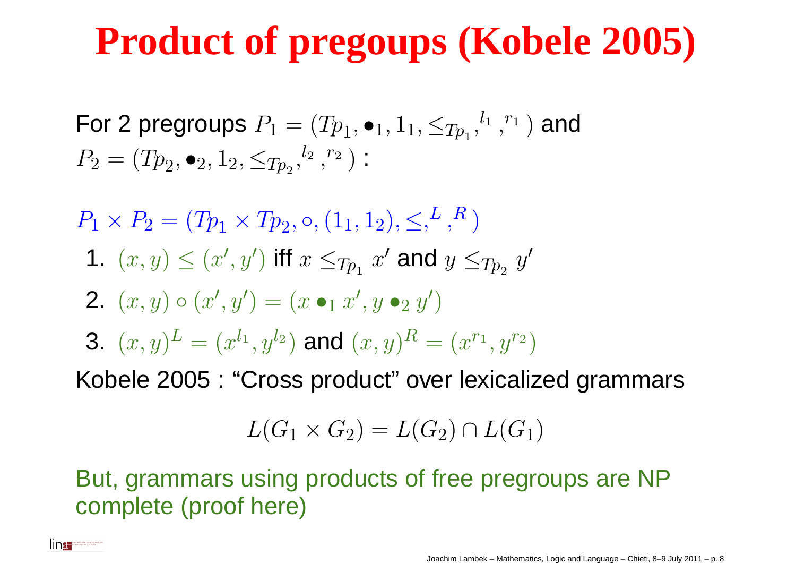### **Product of pregoups (Kobele 2005)**

For 2 pregroups  $P_1=(Tp_1,\bullet_1,1_1,\leq_{Tp_1},$  $P_2 = (Tp_2, \bullet_2, 1_2, \le T_{p_2}, \frac{l_2}{r_2}, T_1$  $l_{\,1}$  , $r\,$  $r_1$  $<sup>1</sup>$ ) and</sup>  $l_{2}% \sqrt{2}+1$  , $r\,$  $r_2$  $^{\rm 2}$   $\Big)$  :

 $P_1 \times P_2 = (Tp_1 \times Tp)$  $_2,$   $\circ$ ,  $(1_1,1_2),$   $\leq,^L$  , $R\,\big)$ 

1.  $(x, y) \leq (x)$ ′,  $y^{\cdot}$ ′ ) iff  $x\leq_{Tp_1}$  $\mathcal{X}% =\mathbb{R}^{2}\times\mathbb{R}^{2}$  ${}^{\prime}$  and  $y\leq_{Tp2} y$ ′

$$
2. (x, y) \circ (x', y') = (x \bullet_1 x', y \bullet_2 y')
$$

**3.** 
$$
(x, y)^L = (x^{l_1}, y^{l_2})
$$
 and  $(x, y)^R = (x^{r_1}, y^{r_2})$ 

Kobele 2005 : "Cross product" over lexicalized grammars

$$
L(G_1 \times G_2) = L(G_2) \cap L(G_1)
$$

But, grammars using products of free pregroups are NPcomplete (proof here)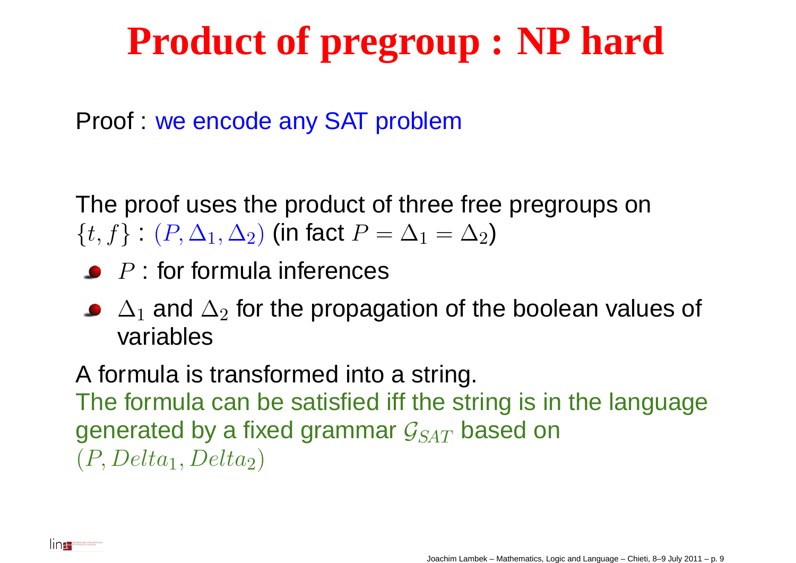### **Product of pregroup : NP hard**

Proof : we encode any SAT problem

The proof uses the product of three free pregroups on $\{t,f\}$  :  $(P,\Delta_1,\Delta_2)$  (in fact  $P=\Delta$ 1 $_1 = \Delta$  $_2)$ 

- $P$  : for formula inferences
- $\Delta_1$ <u>voriohlo</u>  $_1$  and  $\Delta_2$  $_{\rm 2}$  for the propagation of the boolean values of variables

A formula is transformed into <sup>a</sup> string. The formula can be satisfied iff the string is in the languagegenerated by a fixed grammar  $\mathcal{G}_{SAT}$  based on  $(P, Delta_1, Delta_2)$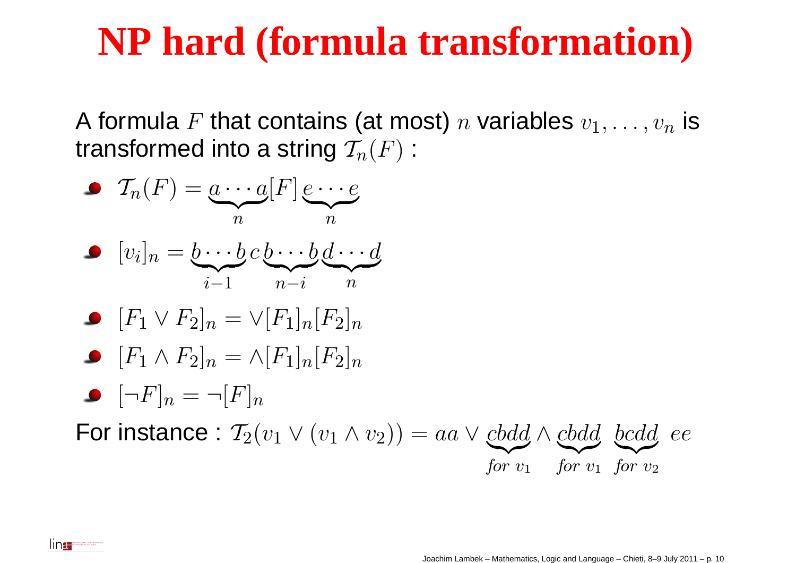#### **NP hard (formula transformation)**

A formula  $F$  that contains (at most)  $n$  variables  $v_1,\ldots,v_n$ transformed into a string  $\mathcal{T}_n(F)$  :  $_n$  is



Ina **De MARIE DI ACCIDENT**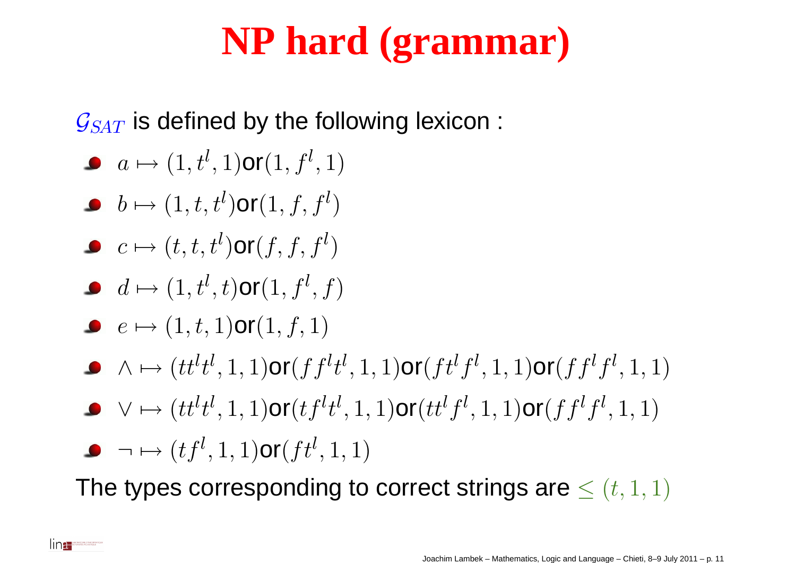### **NP hard (grammar)**

 $\mathcal{G}_{SAT}$  is defined by the following lexicon :

- $a\mapsto (1, t^l, 1)$ or $(1, f^l, 1)$
- $b\mapsto (1, t, t^l)$  $)$ or $(1, f, f^l)$ )
- $c\mapsto(t, t, t^l)$  $)$ or $(f, f, f^l)$ )
- $d\mapsto (1, t^l, t)$ or $(1, f^l, f)$
- $e\mapsto (1, t, 1)$ or $(1, f, 1)$
- $\wedge \mapsto (tt^lt^l,1,1)$ or $(fft^lt^l,1,1)$ or $(ftt^lf^l,1,1)$ or $(fft^lf^l,1,1)$
- $\vee\mapsto (tt^lt^l,1,1)$ or $(tf^lt^l,1,1)$ or $(tt^lf^l,1,1)$ or $(ff^lf^l,1,1)$
- $\neg\mapsto(t f^{l},1,1)$ or $(f t^{l},1,1)$

lin<del>a.</del>

The types corresponding to correct strings are  $\leq(t,1,1)$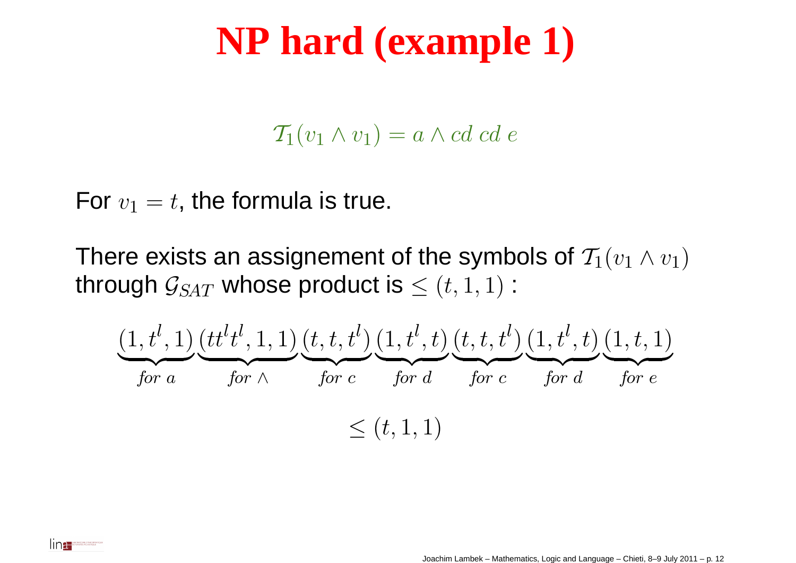#### **NP hard (example 1)**

 $\mathcal{T}_1(v_1 \wedge v_1) = a \wedge cd \cdots$ 

For  $v_1=\,$  $t,$  the formula is true.

There exists an assignement of the symbols of  $\mathcal{T}_1(v_1\wedge v_1)$ through  $\mathcal{G}_{SAT}$  whose product is  $\leq (t, 1, 1)$  :

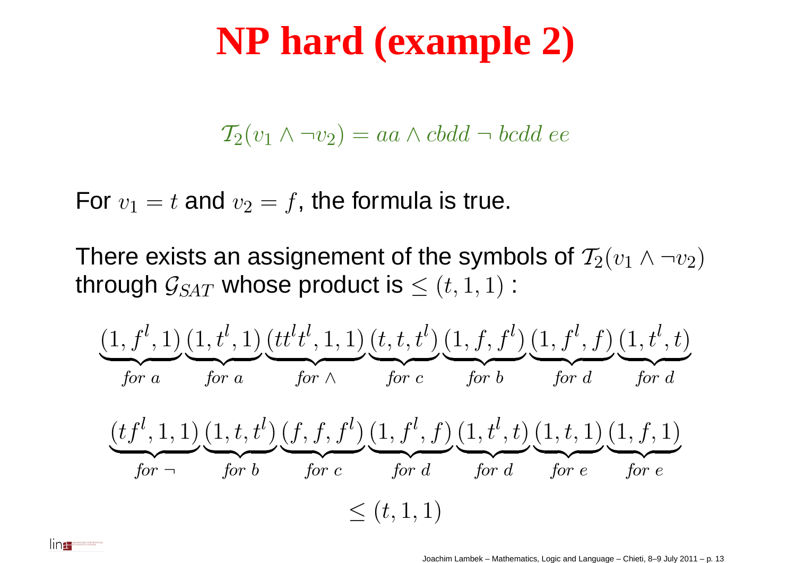#### **NP hard (example 2)**

$$
\mathcal{T}_2(v_1 \wedge \neg v_2) = aa \wedge cbdd \neg bcdd \; ee
$$

For  $v_1=t$  and  $v_2=\,$  $f$ , the formula is true.

lina.

There exists an assignement of the symbols of  $\mathcal{T}_2(v_1 \wedge \neg v_2)$ through  $\mathcal{G}_{SAT}$  whose product is  $\leq (t, 1, 1)$  :

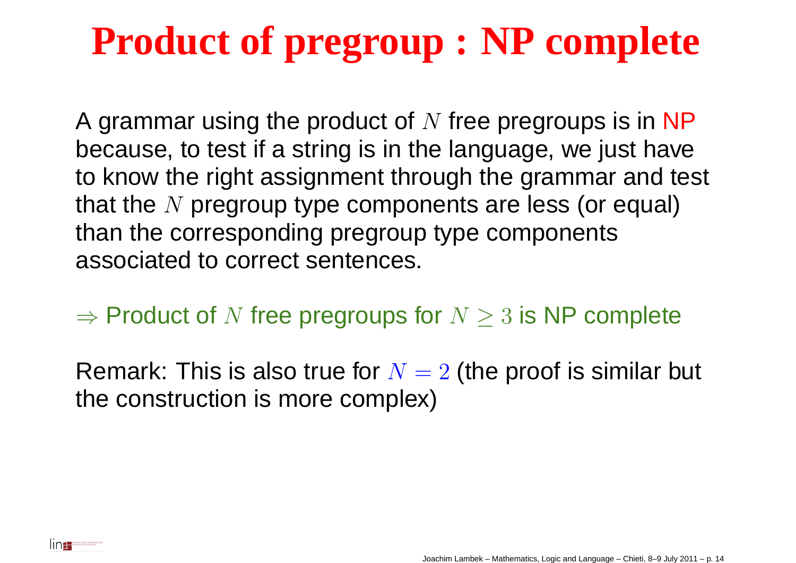## **Product of pregroup : NP complete**

A grammar using the product of  $N$  free pregroups is in NP<br>because, to test if a strips is in the longuage, we just hove because, to test if <sup>a</sup> string is in the language, we just have to know the right assignment through the grammar and test that the  $N$  pregroup type components are less (or equal)<br>then the corresponding pregroup type components than the corresponding pregroup type componentsassociated to correct sentences.

 $\Rightarrow$  Product of  $N$  free pregroups for  $N\geq3$  is NP complete

Remark: This is also true for  $N=2$  (the proof is similar but<br>the conotruction is more complex) the construction is more complex)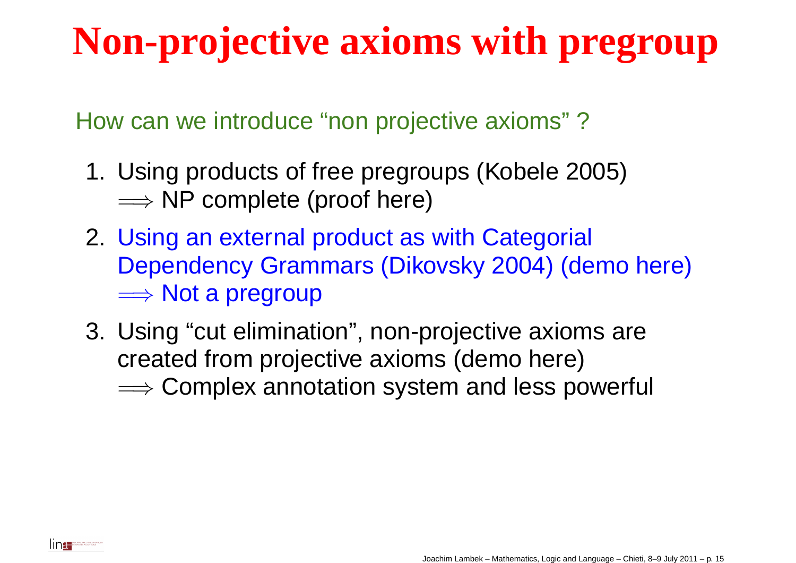How can we introduce "non projective axioms" ?

- 1. Using products of free pregroups (Kobele 2005)**⇒⇒ NP complete (proof here)**<br>. . .
- 2. Using an external product as with Categorial Dependency Grammars (Dikovsky 2004) (demo here)⇒ Not a pregroup<br>. . . . . . . . . . . . . .
- 3. Using "cut elimination", non-projective axioms arecreated from projective axioms (demo here) $\Longrightarrow$  Complex annotation system and less powerful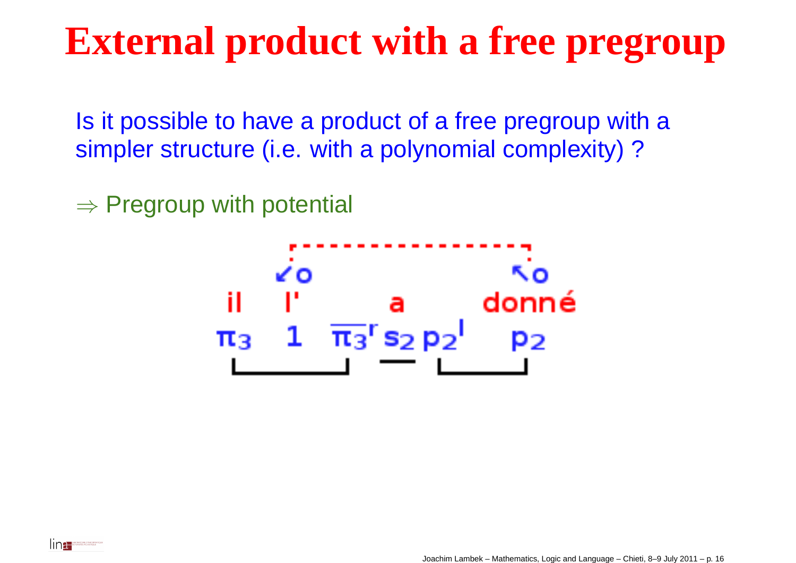#### **External product with <sup>a</sup> free pregroup**

Is it possible to have <sup>a</sup> product of <sup>a</sup> free pregroup with <sup>a</sup>simpler structure (i.e. with a polynomial complexity)?

 $\Rightarrow$  Pregroup with potential



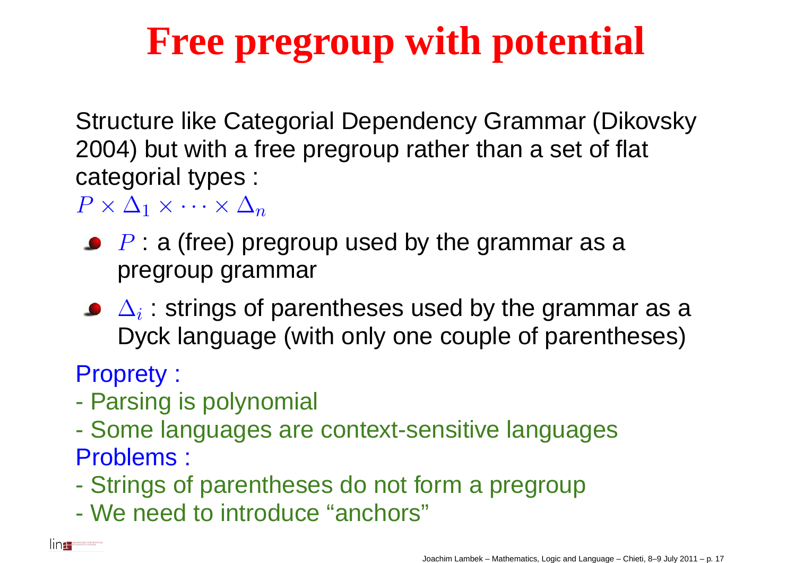Structure like Categorial Dependency Grammar (Dikovsky2004) but with <sup>a</sup> free pregroup rather than <sup>a</sup> set of flat categorial types :

 $P\times\Delta_1\times\cdots\times\Delta_n$ 

- $P$  : a (free) pregroup used by the grammar as a pregroup grammar
- $\Delta_i$  : strings of parentheses used by the grammar as a Dyck language (with only one couple of parentheses)

Proprety :

Ina **Management** 

- $\mathcal{L}_{\mathcal{A}}$ Parsing is polynomial
- $\mathcal{L}_{\mathcal{A}}$  Some languages are context-sensitive languagesProblems :
- $\mathcal{L}_{\mathcal{A}}$ Strings of parentheses do not form <sup>a</sup> pregroup
- $\mathcal{L}_{\mathcal{A}}$ We need to introduce "anchors"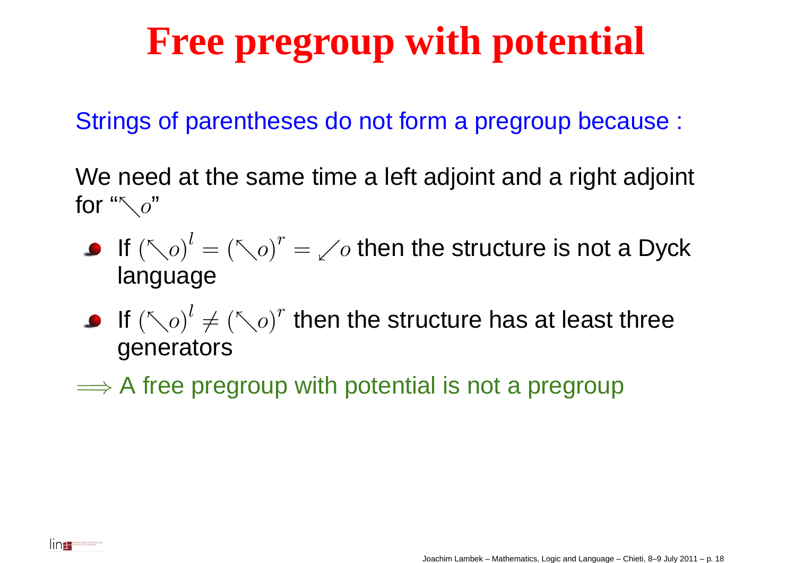Strings of parentheses do not form <sup>a</sup> pregroup because :

We need at the same time <sup>a</sup> left adjoint and <sup>a</sup> right adjoint for " $\nabla o$ "

- If  ${(\nwarrow o)}^l$  language = $(\nwarrow o)^r$  = $\swarrow o$  then the structure is not a Dyck
- If  $\left(\nwarrow o\right)^l$  generators $\neq$   $\left(\nwarrow o\right)^r$  then the structure has at least three
- $\Longrightarrow$  A free pregroup with potential is not a pregroup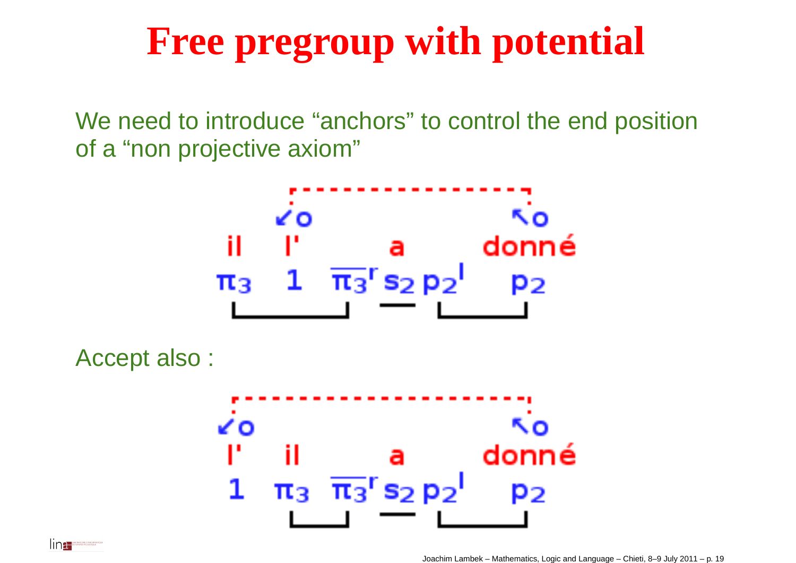We need to introduce "anchors" to control the end position of <sup>a</sup> "non projective axiom"



Accept also :

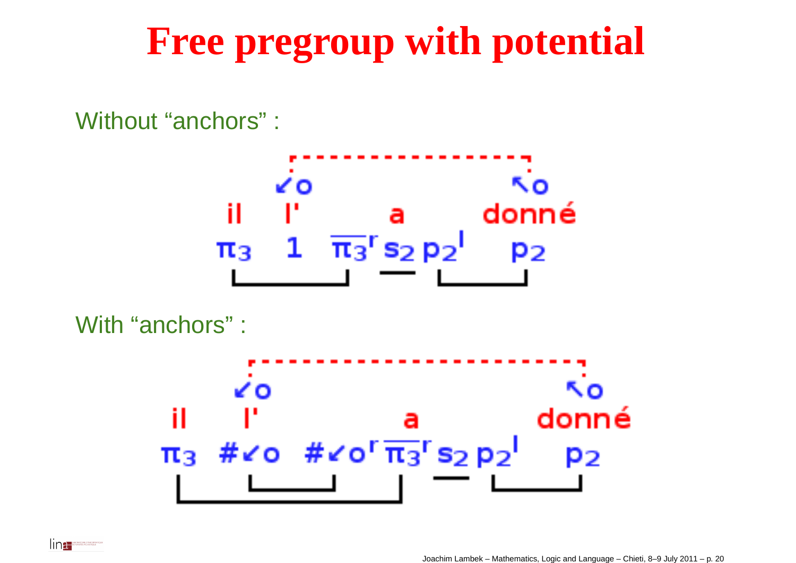Without "anchors" : ٨o ΚO. donné il a  $1 \quad \overline{\pi_3}$ <sup>r</sup> s<sub>2</sub> p<sub>2</sub>  $\pi_3$ P2

With "anchors" :

lin<del>a</del>≝

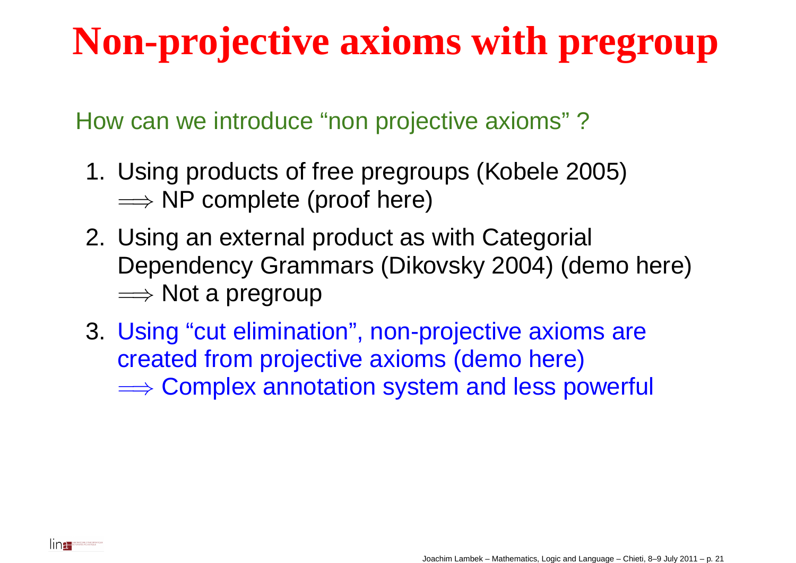How can we introduce "non projective axioms" ?

- 1. Using products of free pregroups (Kobele 2005)**⇒⇒ NP complete (proof here)**<br>. . .
- 2. Using an external product as with Categorial Dependency Grammars (Dikovsky 2004) (demo here)=⇒ Not <sup>a</sup> pregroup
- 3. Using "cut elimination", non-projective axioms arecreated from projective axioms (demo here) $\Longrightarrow$  Complex annotation system and less powerful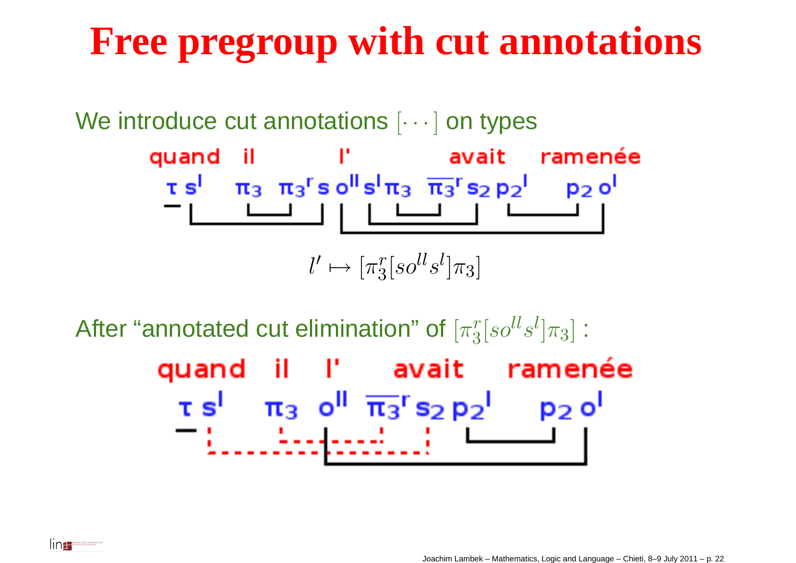### **Free pregroup with cut annotations**

We introduce cut annotations  $[\cdots]$  on types

quand il l'avait ramenée  $\tau s^{1}$   $\pi_{3}$   $\pi_{3}$ <sup>r</sup> s o<sup>ll</sup> s<sup>1</sup>  $\pi_{3}$   $\overline{\pi_{3}}$ <sup>r</sup> s<sub>2</sub> p<sub>2</sub><sup>1</sup> p<sub>2</sub> o<sup>l</sup> 

$$
l' \mapsto [\pi_3^r[so^{ll}s^l]\pi_3]
$$

 $^r_3[so^{ll}s$  $\mathcal{U}$ After "annotated cut elimination" of  $[\pi_3^r]$  $]\pi_3]$  : quand il l'avait ramenée  $\tau s^{1}$   $\pi_{3}$  o<sup>II</sup>  $\overline{\pi_{3}}$ <sup>r</sup> s<sub>2</sub> p<sub>2</sub><sup>1</sup> p<sub>2</sub> o<sup>1</sup> <u> - Electronici III (m. 1</u>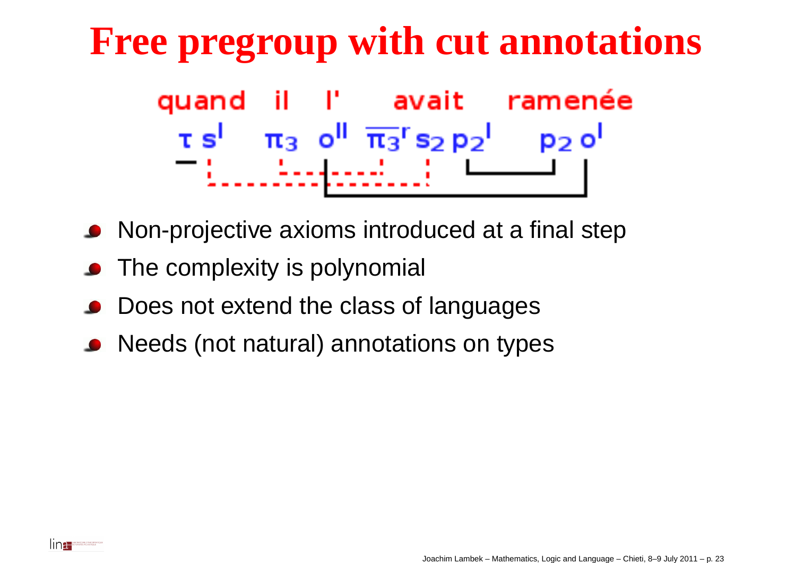### **Free pregroup with cut annotations**quand il l' avait ramenée  $\tau s^{1}$   $\pi_{3}$  o<sup>ll</sup>  $\overline{\pi_{3}}$ <sup>r</sup> s<sub>2</sub> p<sub>2</sub><sup>1</sup> p<sub>2</sub> o<sup>l</sup> <u> Ladardo I</u>

- Non-projective axioms introduced at <sup>a</sup> final step
- The complexity is polynomial
- Does not extend the class of languages
- Needs (not natural) annotations on types